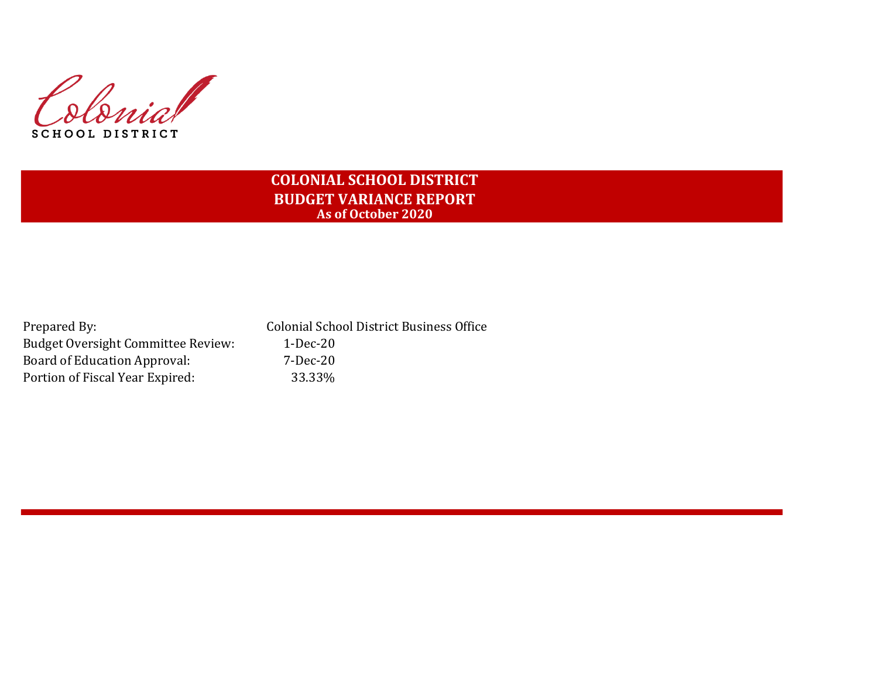Colonia SCHOOL DISTRICT

# **COLONIAL SCHOOL DISTRICT BUDGET VARIANCE REPORT As of October 2020**

| Prepared By:                              | <b>Colonial School District Business Office</b> |
|-------------------------------------------|-------------------------------------------------|
| <b>Budget Oversight Committee Review:</b> | 1-Dec-20                                        |
| Board of Education Approval:              | 7-Dec-20                                        |
| Portion of Fiscal Year Expired:           | 33.33%                                          |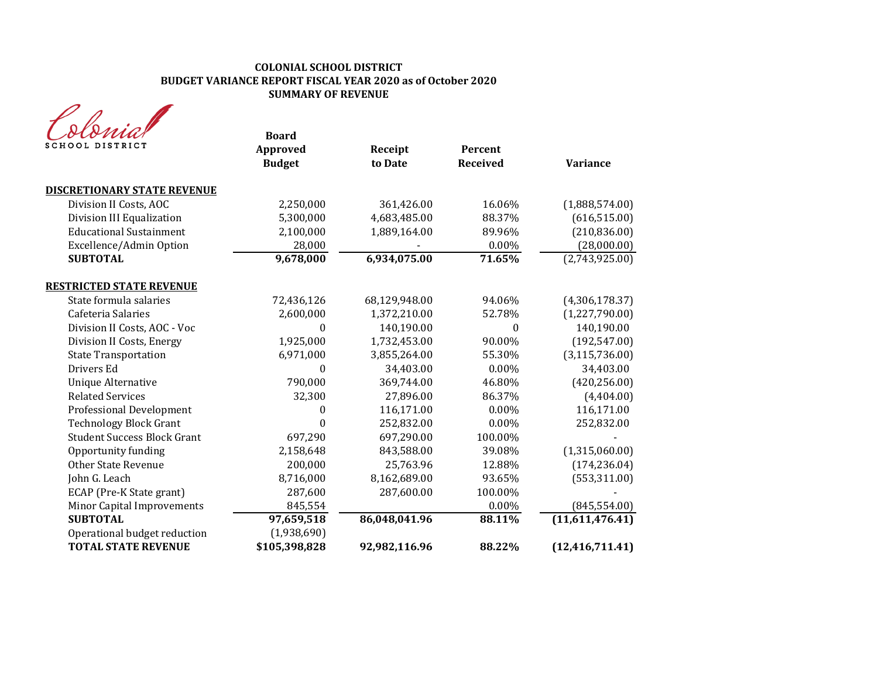#### **COLONIAL SCHOOL DISTRICT BUDGET VARIANCE REPORT FISCAL YEAR 2020 as of October 2020 SUMMARY OF REVENUE**

| SCHOOL DISTRICT                    | <b>Board</b><br>Approved<br><b>Budget</b> | Receipt<br>to Date | Percent<br><b>Received</b> | <b>Variance</b>   |
|------------------------------------|-------------------------------------------|--------------------|----------------------------|-------------------|
| <b>DISCRETIONARY STATE REVENUE</b> |                                           |                    |                            |                   |
| Division II Costs, AOC             | 2,250,000                                 | 361,426.00         | 16.06%                     | (1,888,574.00)    |
| Division III Equalization          | 5,300,000                                 | 4,683,485.00       | 88.37%                     | (616, 515.00)     |
| <b>Educational Sustainment</b>     | 2,100,000                                 | 1,889,164.00       | 89.96%                     | (210, 836.00)     |
| Excellence/Admin Option            | 28,000                                    |                    | 0.00%                      | (28,000.00)       |
| <b>SUBTOTAL</b>                    | 9,678,000                                 | 6,934,075.00       | 71.65%                     | (2,743,925.00)    |
| <b>RESTRICTED STATE REVENUE</b>    |                                           |                    |                            |                   |
| State formula salaries             | 72,436,126                                | 68,129,948.00      | 94.06%                     | (4,306,178.37)    |
| Cafeteria Salaries                 | 2,600,000                                 | 1,372,210.00       | 52.78%                     | (1,227,790.00)    |
| Division II Costs, AOC - Voc       | 0                                         | 140,190.00         | $\theta$                   | 140,190.00        |
| Division II Costs, Energy          | 1,925,000                                 | 1,732,453.00       | 90.00%                     | (192, 547.00)     |
| <b>State Transportation</b>        | 6,971,000                                 | 3,855,264.00       | 55.30%                     | (3, 115, 736.00)  |
| Drivers Ed                         | $\theta$                                  | 34,403.00          | $0.00\%$                   | 34,403.00         |
| <b>Unique Alternative</b>          | 790,000                                   | 369,744.00         | 46.80%                     | (420, 256.00)     |
| <b>Related Services</b>            | 32,300                                    | 27,896.00          | 86.37%                     | (4,404.00)        |
| <b>Professional Development</b>    | 0                                         | 116,171.00         | 0.00%                      | 116,171.00        |
| <b>Technology Block Grant</b>      | 0                                         | 252,832.00         | 0.00%                      | 252,832.00        |
| <b>Student Success Block Grant</b> | 697,290                                   | 697,290.00         | 100.00%                    |                   |
| Opportunity funding                | 2,158,648                                 | 843,588.00         | 39.08%                     | (1,315,060.00)    |
| <b>Other State Revenue</b>         | 200,000                                   | 25,763.96          | 12.88%                     | (174, 236.04)     |
| John G. Leach                      | 8,716,000                                 | 8,162,689.00       | 93.65%                     | (553, 311.00)     |
| ECAP (Pre-K State grant)           | 287,600                                   | 287,600.00         | 100.00%                    |                   |
| Minor Capital Improvements         | 845,554                                   |                    | $0.00\%$                   | (845, 554.00)     |
| <b>SUBTOTAL</b>                    | 97,659,518                                | 86,048,041.96      | 88.11%                     | (11,611,476.41)   |
| Operational budget reduction       | (1,938,690)                               |                    |                            |                   |
| <b>TOTAL STATE REVENUE</b>         | \$105,398,828                             | 92,982,116.96      | 88.22%                     | (12, 416, 711.41) |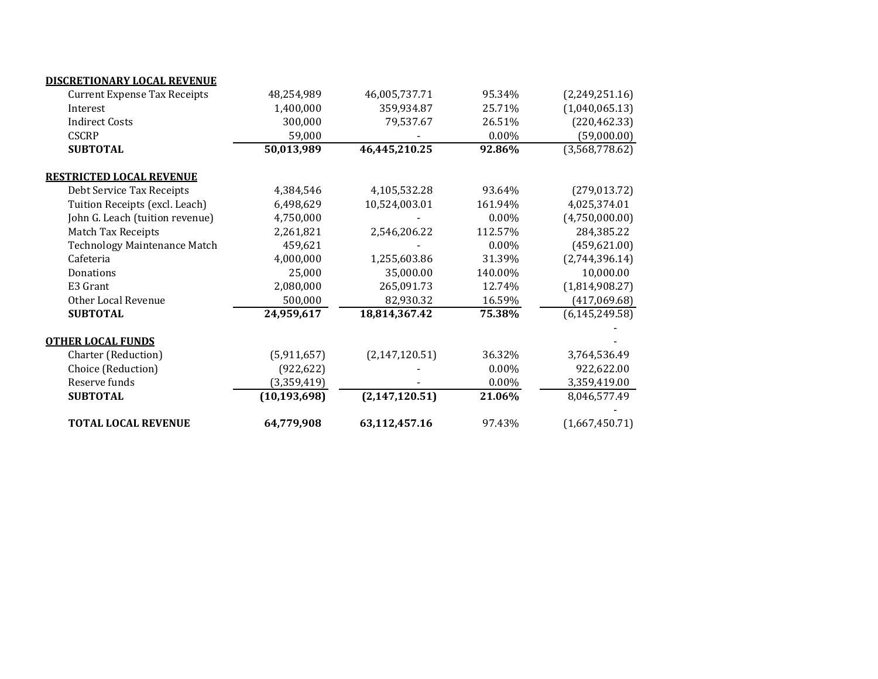| <b>TOTAL LOCAL REVENUE</b>          | 64,779,908     | 63,112,457.16    | 97.43%  | (1,667,450.71)   |
|-------------------------------------|----------------|------------------|---------|------------------|
| <b>SUBTOTAL</b>                     | (10, 193, 698) | (2, 147, 120.51) | 21.06%  | 8,046,577.49     |
| Reserve funds                       | (3,359,419)    |                  | 0.00%   | 3,359,419.00     |
| Choice (Reduction)                  | (922, 622)     |                  | 0.00%   | 922,622.00       |
| Charter (Reduction)                 | (5,911,657)    | (2, 147, 120.51) | 36.32%  | 3,764,536.49     |
| <b>OTHER LOCAL FUNDS</b>            |                |                  |         |                  |
| <b>SUBTOTAL</b>                     | 24,959,617     | 18,814,367.42    | 75.38%  | (6, 145, 249.58) |
| Other Local Revenue                 | 500,000        | 82,930.32        | 16.59%  | (417,069.68)     |
| E3 Grant                            | 2,080,000      | 265,091.73       | 12.74%  | (1,814,908.27)   |
| Donations                           | 25,000         | 35,000.00        | 140.00% | 10,000.00        |
| Cafeteria                           | 4,000,000      | 1,255,603.86     | 31.39%  | (2,744,396.14)   |
| Technology Maintenance Match        | 459,621        |                  | 0.00%   | (459, 621.00)    |
| Match Tax Receipts                  | 2,261,821      | 2,546,206.22     | 112.57% | 284,385.22       |
| John G. Leach (tuition revenue)     | 4,750,000      |                  | 0.00%   | (4,750,000.00)   |
| Tuition Receipts (excl. Leach)      | 6,498,629      | 10,524,003.01    | 161.94% | 4,025,374.01     |
| Debt Service Tax Receipts           | 4,384,546      | 4,105,532.28     | 93.64%  | (279, 013.72)    |
| <b>RESTRICTED LOCAL REVENUE</b>     |                |                  |         |                  |
| <b>SUBTOTAL</b>                     | 50,013,989     | 46,445,210.25    | 92.86%  | (3,568,778.62)   |
| <b>CSCRP</b>                        | 59,000         |                  | 0.00%   | (59,000.00)      |
| <b>Indirect Costs</b>               | 300,000        | 79,537.67        | 26.51%  | (220, 462.33)    |
| Interest                            | 1,400,000      | 359,934.87       | 25.71%  | (1,040,065.13)   |
| <b>Current Expense Tax Receipts</b> | 48,254,989     | 46,005,737.71    | 95.34%  | (2,249,251.16)   |
| DISCRETIONARY LOCAL REVENUE         |                |                  |         |                  |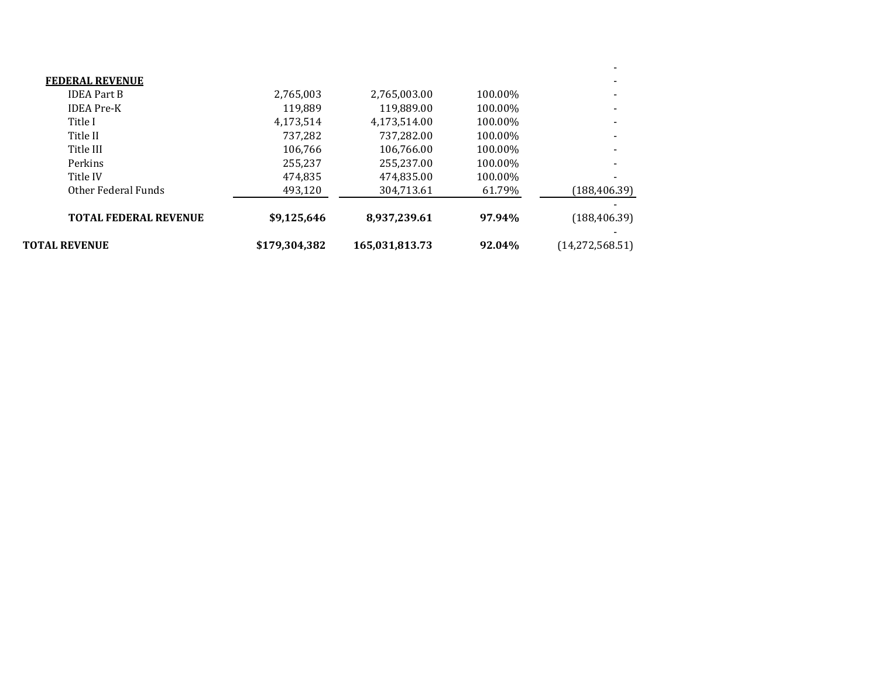| <b>TOTAL FEDERAL REVENUE</b> | \$9,125,646 | 8,937,239.61 | 97.94%  | (188, 406.39) |
|------------------------------|-------------|--------------|---------|---------------|
| Other Federal Funds          | 493,120     | 304,713.61   | 61.79%  | (188, 406.39) |
| Title IV                     | 474,835     | 474,835.00   | 100.00% |               |
| Perkins                      | 255.237     | 255.237.00   | 100.00% |               |
| Title III                    | 106.766     | 106,766.00   | 100.00% |               |
| Title II                     | 737,282     | 737,282.00   | 100.00% |               |
| Title I                      | 4,173,514   | 4,173,514.00 | 100.00% |               |
| <b>IDEA</b> Pre-K            | 119.889     | 119,889.00   | 100.00% |               |
| <b>IDEA Part B</b>           | 2,765,003   | 2,765,003.00 | 100.00% |               |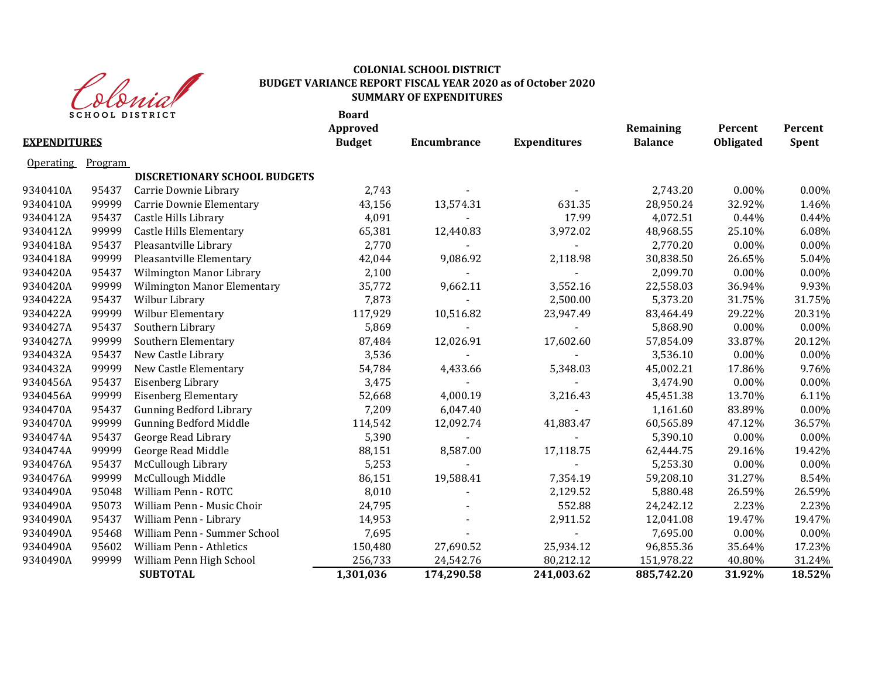

### **COLONIAL SCHOOL DISTRICT BUDGET VARIANCE REPORT FISCAL YEAR 2020 as of October 2020 SUMMARY OF EXPENDITURES**

| <b>Budget</b><br><b>Expenditures</b><br><b>Balance</b><br>Obligated<br><b>EXPENDITURES</b><br><b>Encumbrance</b><br>Program<br><b>Operating</b><br>DISCRETIONARY SCHOOL BUDGETS<br>2,743<br>2,743.20<br>$0.00\%$<br>9340410A<br>95437<br>Carrie Downie Library<br>9340410A<br>99999<br>43,156<br>28,950.24<br>32.92%<br>Carrie Downie Elementary<br>13,574.31<br>631.35<br>17.99<br>9340412A<br>95437<br>Castle Hills Library<br>4,091<br>4,072.51<br>0.44%<br>9340412A<br>99999<br><b>Castle Hills Elementary</b><br>65,381<br>3,972.02<br>48,968.55<br>25.10%<br>12,440.83<br>Pleasantville Library<br>9340418A<br>95437<br>2,770<br>2,770.20<br>$0.00\%$<br>9340418A<br>Pleasantville Elementary<br>30,838.50<br>99999<br>42,044<br>9,086.92<br>2,118.98<br>26.65%<br>9340420A<br>95437<br>Wilmington Manor Library<br>2,100<br>2,099.70<br>$0.00\%$<br>$\sim$<br>9340420A<br>99999<br><b>Wilmington Manor Elementary</b><br>35,772<br>9,662.11<br>3,552.16<br>22,558.03<br>36.94%<br>9340422A<br>95437<br>Wilbur Library<br>7,873<br>5,373.20<br>31.75%<br>2,500.00<br>9340422A<br>99999<br>Wilbur Elementary<br>117,929<br>10,516.82<br>29.22%<br>23,947.49<br>83,464.49<br>9340427A<br>$0.00\%$<br>95437<br>Southern Library<br>5,869<br>5,868.90<br>$\blacksquare$<br>9340427A<br>99999<br>Southern Elementary<br>87,484<br>17,602.60<br>12,026.91<br>57,854.09<br>33.87%<br>9340432A<br>95437<br>New Castle Library<br>3,536<br>3,536.10<br>$0.00\%$<br>$\sim$<br>$\sim$<br>9340432A<br>99999<br>New Castle Elementary<br>54,784<br>45,002.21<br>17.86%<br>4,433.66<br>5,348.03<br>9340456A<br>95437<br>Eisenberg Library<br>3,475<br>3,474.90<br>0.00%<br>9340456A<br>99999<br><b>Eisenberg Elementary</b><br>4,000.19<br>45,451.38<br>13.70%<br>52,668<br>3,216.43<br>9340470A<br>7,209<br>95437<br><b>Gunning Bedford Library</b><br>6,047.40<br>1,161.60<br>83.89%<br>60,565.89<br>9340470A<br>99999<br><b>Gunning Bedford Middle</b><br>12,092.74<br>41,883.47<br>47.12%<br>114,542<br>9340474A<br>95437<br>5,390<br>5,390.10<br>$0.00\%$<br>George Read Library<br>$\blacksquare$<br>$\blacksquare$<br>9340474A<br>99999<br>George Read Middle<br>88,151<br>8,587.00<br>62,444.75<br>29.16%<br>17,118.75<br>McCullough Library<br>9340476A<br>95437<br>5,253<br>5,253.30<br>$0.00\%$<br>McCullough Middle<br>9340476A<br>99999<br>86,151<br>19,588.41<br>7,354.19<br>31.27%<br>59,208.10<br>9340490A<br>William Penn - ROTC<br>8,010<br>2,129.52<br>5,880.48<br>95048<br>26.59%<br>552.88<br>9340490A<br>95073<br>William Penn - Music Choir<br>24,795<br>24,242.12<br>2.23%<br>9340490A<br>95437<br>William Penn - Library<br>14,953<br>2,911.52<br>12,041.08<br>19.47%<br>9340490A<br>95468<br>William Penn - Summer School<br>7,695<br>7,695.00<br>$0.00\%$<br>25,934.12<br>9340490A<br>95602<br>William Penn - Athletics<br>27,690.52<br>35.64%<br>150,480<br>96,855.36<br>9340490A<br>99999<br>William Penn High School<br>256,733<br>24,542.76<br>80,212.12<br>40.80%<br>151,978.22<br>31.92%<br><b>SUBTOTAL</b><br>1,301,036<br>174,290.58<br>241,003.62<br>885,742.20 |  | <b>SCHOOL DISTRICT</b> | <b>Board</b><br>Approved |  | Remaining | Percent | Percent      |
|---------------------------------------------------------------------------------------------------------------------------------------------------------------------------------------------------------------------------------------------------------------------------------------------------------------------------------------------------------------------------------------------------------------------------------------------------------------------------------------------------------------------------------------------------------------------------------------------------------------------------------------------------------------------------------------------------------------------------------------------------------------------------------------------------------------------------------------------------------------------------------------------------------------------------------------------------------------------------------------------------------------------------------------------------------------------------------------------------------------------------------------------------------------------------------------------------------------------------------------------------------------------------------------------------------------------------------------------------------------------------------------------------------------------------------------------------------------------------------------------------------------------------------------------------------------------------------------------------------------------------------------------------------------------------------------------------------------------------------------------------------------------------------------------------------------------------------------------------------------------------------------------------------------------------------------------------------------------------------------------------------------------------------------------------------------------------------------------------------------------------------------------------------------------------------------------------------------------------------------------------------------------------------------------------------------------------------------------------------------------------------------------------------------------------------------------------------------------------------------------------------------------------------------------------------------------------------------------------------------------------------------------------------------------------------------------------------------------------------------------------------------------------------------------------------------------------------------------------------------------------------------------------------------------------------------------------------------------------------------------------------------------------------------------------------------------------------------------|--|------------------------|--------------------------|--|-----------|---------|--------------|
|                                                                                                                                                                                                                                                                                                                                                                                                                                                                                                                                                                                                                                                                                                                                                                                                                                                                                                                                                                                                                                                                                                                                                                                                                                                                                                                                                                                                                                                                                                                                                                                                                                                                                                                                                                                                                                                                                                                                                                                                                                                                                                                                                                                                                                                                                                                                                                                                                                                                                                                                                                                                                                                                                                                                                                                                                                                                                                                                                                                                                                                                                             |  |                        |                          |  |           |         | <b>Spent</b> |
|                                                                                                                                                                                                                                                                                                                                                                                                                                                                                                                                                                                                                                                                                                                                                                                                                                                                                                                                                                                                                                                                                                                                                                                                                                                                                                                                                                                                                                                                                                                                                                                                                                                                                                                                                                                                                                                                                                                                                                                                                                                                                                                                                                                                                                                                                                                                                                                                                                                                                                                                                                                                                                                                                                                                                                                                                                                                                                                                                                                                                                                                                             |  |                        |                          |  |           |         |              |
|                                                                                                                                                                                                                                                                                                                                                                                                                                                                                                                                                                                                                                                                                                                                                                                                                                                                                                                                                                                                                                                                                                                                                                                                                                                                                                                                                                                                                                                                                                                                                                                                                                                                                                                                                                                                                                                                                                                                                                                                                                                                                                                                                                                                                                                                                                                                                                                                                                                                                                                                                                                                                                                                                                                                                                                                                                                                                                                                                                                                                                                                                             |  |                        |                          |  |           |         |              |
|                                                                                                                                                                                                                                                                                                                                                                                                                                                                                                                                                                                                                                                                                                                                                                                                                                                                                                                                                                                                                                                                                                                                                                                                                                                                                                                                                                                                                                                                                                                                                                                                                                                                                                                                                                                                                                                                                                                                                                                                                                                                                                                                                                                                                                                                                                                                                                                                                                                                                                                                                                                                                                                                                                                                                                                                                                                                                                                                                                                                                                                                                             |  |                        |                          |  |           |         | 0.00%        |
|                                                                                                                                                                                                                                                                                                                                                                                                                                                                                                                                                                                                                                                                                                                                                                                                                                                                                                                                                                                                                                                                                                                                                                                                                                                                                                                                                                                                                                                                                                                                                                                                                                                                                                                                                                                                                                                                                                                                                                                                                                                                                                                                                                                                                                                                                                                                                                                                                                                                                                                                                                                                                                                                                                                                                                                                                                                                                                                                                                                                                                                                                             |  |                        |                          |  |           |         | 1.46%        |
|                                                                                                                                                                                                                                                                                                                                                                                                                                                                                                                                                                                                                                                                                                                                                                                                                                                                                                                                                                                                                                                                                                                                                                                                                                                                                                                                                                                                                                                                                                                                                                                                                                                                                                                                                                                                                                                                                                                                                                                                                                                                                                                                                                                                                                                                                                                                                                                                                                                                                                                                                                                                                                                                                                                                                                                                                                                                                                                                                                                                                                                                                             |  |                        |                          |  |           |         | 0.44%        |
|                                                                                                                                                                                                                                                                                                                                                                                                                                                                                                                                                                                                                                                                                                                                                                                                                                                                                                                                                                                                                                                                                                                                                                                                                                                                                                                                                                                                                                                                                                                                                                                                                                                                                                                                                                                                                                                                                                                                                                                                                                                                                                                                                                                                                                                                                                                                                                                                                                                                                                                                                                                                                                                                                                                                                                                                                                                                                                                                                                                                                                                                                             |  |                        |                          |  |           |         | 6.08%        |
|                                                                                                                                                                                                                                                                                                                                                                                                                                                                                                                                                                                                                                                                                                                                                                                                                                                                                                                                                                                                                                                                                                                                                                                                                                                                                                                                                                                                                                                                                                                                                                                                                                                                                                                                                                                                                                                                                                                                                                                                                                                                                                                                                                                                                                                                                                                                                                                                                                                                                                                                                                                                                                                                                                                                                                                                                                                                                                                                                                                                                                                                                             |  |                        |                          |  |           |         | 0.00%        |
|                                                                                                                                                                                                                                                                                                                                                                                                                                                                                                                                                                                                                                                                                                                                                                                                                                                                                                                                                                                                                                                                                                                                                                                                                                                                                                                                                                                                                                                                                                                                                                                                                                                                                                                                                                                                                                                                                                                                                                                                                                                                                                                                                                                                                                                                                                                                                                                                                                                                                                                                                                                                                                                                                                                                                                                                                                                                                                                                                                                                                                                                                             |  |                        |                          |  |           |         | 5.04%        |
|                                                                                                                                                                                                                                                                                                                                                                                                                                                                                                                                                                                                                                                                                                                                                                                                                                                                                                                                                                                                                                                                                                                                                                                                                                                                                                                                                                                                                                                                                                                                                                                                                                                                                                                                                                                                                                                                                                                                                                                                                                                                                                                                                                                                                                                                                                                                                                                                                                                                                                                                                                                                                                                                                                                                                                                                                                                                                                                                                                                                                                                                                             |  |                        |                          |  |           |         | 0.00%        |
|                                                                                                                                                                                                                                                                                                                                                                                                                                                                                                                                                                                                                                                                                                                                                                                                                                                                                                                                                                                                                                                                                                                                                                                                                                                                                                                                                                                                                                                                                                                                                                                                                                                                                                                                                                                                                                                                                                                                                                                                                                                                                                                                                                                                                                                                                                                                                                                                                                                                                                                                                                                                                                                                                                                                                                                                                                                                                                                                                                                                                                                                                             |  |                        |                          |  |           |         | 9.93%        |
|                                                                                                                                                                                                                                                                                                                                                                                                                                                                                                                                                                                                                                                                                                                                                                                                                                                                                                                                                                                                                                                                                                                                                                                                                                                                                                                                                                                                                                                                                                                                                                                                                                                                                                                                                                                                                                                                                                                                                                                                                                                                                                                                                                                                                                                                                                                                                                                                                                                                                                                                                                                                                                                                                                                                                                                                                                                                                                                                                                                                                                                                                             |  |                        |                          |  |           |         | 31.75%       |
|                                                                                                                                                                                                                                                                                                                                                                                                                                                                                                                                                                                                                                                                                                                                                                                                                                                                                                                                                                                                                                                                                                                                                                                                                                                                                                                                                                                                                                                                                                                                                                                                                                                                                                                                                                                                                                                                                                                                                                                                                                                                                                                                                                                                                                                                                                                                                                                                                                                                                                                                                                                                                                                                                                                                                                                                                                                                                                                                                                                                                                                                                             |  |                        |                          |  |           |         | 20.31%       |
|                                                                                                                                                                                                                                                                                                                                                                                                                                                                                                                                                                                                                                                                                                                                                                                                                                                                                                                                                                                                                                                                                                                                                                                                                                                                                                                                                                                                                                                                                                                                                                                                                                                                                                                                                                                                                                                                                                                                                                                                                                                                                                                                                                                                                                                                                                                                                                                                                                                                                                                                                                                                                                                                                                                                                                                                                                                                                                                                                                                                                                                                                             |  |                        |                          |  |           |         | 0.00%        |
|                                                                                                                                                                                                                                                                                                                                                                                                                                                                                                                                                                                                                                                                                                                                                                                                                                                                                                                                                                                                                                                                                                                                                                                                                                                                                                                                                                                                                                                                                                                                                                                                                                                                                                                                                                                                                                                                                                                                                                                                                                                                                                                                                                                                                                                                                                                                                                                                                                                                                                                                                                                                                                                                                                                                                                                                                                                                                                                                                                                                                                                                                             |  |                        |                          |  |           |         | 20.12%       |
|                                                                                                                                                                                                                                                                                                                                                                                                                                                                                                                                                                                                                                                                                                                                                                                                                                                                                                                                                                                                                                                                                                                                                                                                                                                                                                                                                                                                                                                                                                                                                                                                                                                                                                                                                                                                                                                                                                                                                                                                                                                                                                                                                                                                                                                                                                                                                                                                                                                                                                                                                                                                                                                                                                                                                                                                                                                                                                                                                                                                                                                                                             |  |                        |                          |  |           |         | 0.00%        |
|                                                                                                                                                                                                                                                                                                                                                                                                                                                                                                                                                                                                                                                                                                                                                                                                                                                                                                                                                                                                                                                                                                                                                                                                                                                                                                                                                                                                                                                                                                                                                                                                                                                                                                                                                                                                                                                                                                                                                                                                                                                                                                                                                                                                                                                                                                                                                                                                                                                                                                                                                                                                                                                                                                                                                                                                                                                                                                                                                                                                                                                                                             |  |                        |                          |  |           |         | 9.76%        |
|                                                                                                                                                                                                                                                                                                                                                                                                                                                                                                                                                                                                                                                                                                                                                                                                                                                                                                                                                                                                                                                                                                                                                                                                                                                                                                                                                                                                                                                                                                                                                                                                                                                                                                                                                                                                                                                                                                                                                                                                                                                                                                                                                                                                                                                                                                                                                                                                                                                                                                                                                                                                                                                                                                                                                                                                                                                                                                                                                                                                                                                                                             |  |                        |                          |  |           |         | 0.00%        |
|                                                                                                                                                                                                                                                                                                                                                                                                                                                                                                                                                                                                                                                                                                                                                                                                                                                                                                                                                                                                                                                                                                                                                                                                                                                                                                                                                                                                                                                                                                                                                                                                                                                                                                                                                                                                                                                                                                                                                                                                                                                                                                                                                                                                                                                                                                                                                                                                                                                                                                                                                                                                                                                                                                                                                                                                                                                                                                                                                                                                                                                                                             |  |                        |                          |  |           |         | 6.11%        |
|                                                                                                                                                                                                                                                                                                                                                                                                                                                                                                                                                                                                                                                                                                                                                                                                                                                                                                                                                                                                                                                                                                                                                                                                                                                                                                                                                                                                                                                                                                                                                                                                                                                                                                                                                                                                                                                                                                                                                                                                                                                                                                                                                                                                                                                                                                                                                                                                                                                                                                                                                                                                                                                                                                                                                                                                                                                                                                                                                                                                                                                                                             |  |                        |                          |  |           |         | 0.00%        |
|                                                                                                                                                                                                                                                                                                                                                                                                                                                                                                                                                                                                                                                                                                                                                                                                                                                                                                                                                                                                                                                                                                                                                                                                                                                                                                                                                                                                                                                                                                                                                                                                                                                                                                                                                                                                                                                                                                                                                                                                                                                                                                                                                                                                                                                                                                                                                                                                                                                                                                                                                                                                                                                                                                                                                                                                                                                                                                                                                                                                                                                                                             |  |                        |                          |  |           |         | 36.57%       |
|                                                                                                                                                                                                                                                                                                                                                                                                                                                                                                                                                                                                                                                                                                                                                                                                                                                                                                                                                                                                                                                                                                                                                                                                                                                                                                                                                                                                                                                                                                                                                                                                                                                                                                                                                                                                                                                                                                                                                                                                                                                                                                                                                                                                                                                                                                                                                                                                                                                                                                                                                                                                                                                                                                                                                                                                                                                                                                                                                                                                                                                                                             |  |                        |                          |  |           |         | 0.00%        |
|                                                                                                                                                                                                                                                                                                                                                                                                                                                                                                                                                                                                                                                                                                                                                                                                                                                                                                                                                                                                                                                                                                                                                                                                                                                                                                                                                                                                                                                                                                                                                                                                                                                                                                                                                                                                                                                                                                                                                                                                                                                                                                                                                                                                                                                                                                                                                                                                                                                                                                                                                                                                                                                                                                                                                                                                                                                                                                                                                                                                                                                                                             |  |                        |                          |  |           |         | 19.42%       |
|                                                                                                                                                                                                                                                                                                                                                                                                                                                                                                                                                                                                                                                                                                                                                                                                                                                                                                                                                                                                                                                                                                                                                                                                                                                                                                                                                                                                                                                                                                                                                                                                                                                                                                                                                                                                                                                                                                                                                                                                                                                                                                                                                                                                                                                                                                                                                                                                                                                                                                                                                                                                                                                                                                                                                                                                                                                                                                                                                                                                                                                                                             |  |                        |                          |  |           |         | 0.00%        |
|                                                                                                                                                                                                                                                                                                                                                                                                                                                                                                                                                                                                                                                                                                                                                                                                                                                                                                                                                                                                                                                                                                                                                                                                                                                                                                                                                                                                                                                                                                                                                                                                                                                                                                                                                                                                                                                                                                                                                                                                                                                                                                                                                                                                                                                                                                                                                                                                                                                                                                                                                                                                                                                                                                                                                                                                                                                                                                                                                                                                                                                                                             |  |                        |                          |  |           |         | 8.54%        |
|                                                                                                                                                                                                                                                                                                                                                                                                                                                                                                                                                                                                                                                                                                                                                                                                                                                                                                                                                                                                                                                                                                                                                                                                                                                                                                                                                                                                                                                                                                                                                                                                                                                                                                                                                                                                                                                                                                                                                                                                                                                                                                                                                                                                                                                                                                                                                                                                                                                                                                                                                                                                                                                                                                                                                                                                                                                                                                                                                                                                                                                                                             |  |                        |                          |  |           |         | 26.59%       |
|                                                                                                                                                                                                                                                                                                                                                                                                                                                                                                                                                                                                                                                                                                                                                                                                                                                                                                                                                                                                                                                                                                                                                                                                                                                                                                                                                                                                                                                                                                                                                                                                                                                                                                                                                                                                                                                                                                                                                                                                                                                                                                                                                                                                                                                                                                                                                                                                                                                                                                                                                                                                                                                                                                                                                                                                                                                                                                                                                                                                                                                                                             |  |                        |                          |  |           |         | 2.23%        |
|                                                                                                                                                                                                                                                                                                                                                                                                                                                                                                                                                                                                                                                                                                                                                                                                                                                                                                                                                                                                                                                                                                                                                                                                                                                                                                                                                                                                                                                                                                                                                                                                                                                                                                                                                                                                                                                                                                                                                                                                                                                                                                                                                                                                                                                                                                                                                                                                                                                                                                                                                                                                                                                                                                                                                                                                                                                                                                                                                                                                                                                                                             |  |                        |                          |  |           |         | 19.47%       |
|                                                                                                                                                                                                                                                                                                                                                                                                                                                                                                                                                                                                                                                                                                                                                                                                                                                                                                                                                                                                                                                                                                                                                                                                                                                                                                                                                                                                                                                                                                                                                                                                                                                                                                                                                                                                                                                                                                                                                                                                                                                                                                                                                                                                                                                                                                                                                                                                                                                                                                                                                                                                                                                                                                                                                                                                                                                                                                                                                                                                                                                                                             |  |                        |                          |  |           |         | $0.00\%$     |
|                                                                                                                                                                                                                                                                                                                                                                                                                                                                                                                                                                                                                                                                                                                                                                                                                                                                                                                                                                                                                                                                                                                                                                                                                                                                                                                                                                                                                                                                                                                                                                                                                                                                                                                                                                                                                                                                                                                                                                                                                                                                                                                                                                                                                                                                                                                                                                                                                                                                                                                                                                                                                                                                                                                                                                                                                                                                                                                                                                                                                                                                                             |  |                        |                          |  |           |         | 17.23%       |
|                                                                                                                                                                                                                                                                                                                                                                                                                                                                                                                                                                                                                                                                                                                                                                                                                                                                                                                                                                                                                                                                                                                                                                                                                                                                                                                                                                                                                                                                                                                                                                                                                                                                                                                                                                                                                                                                                                                                                                                                                                                                                                                                                                                                                                                                                                                                                                                                                                                                                                                                                                                                                                                                                                                                                                                                                                                                                                                                                                                                                                                                                             |  |                        |                          |  |           |         | 31.24%       |
|                                                                                                                                                                                                                                                                                                                                                                                                                                                                                                                                                                                                                                                                                                                                                                                                                                                                                                                                                                                                                                                                                                                                                                                                                                                                                                                                                                                                                                                                                                                                                                                                                                                                                                                                                                                                                                                                                                                                                                                                                                                                                                                                                                                                                                                                                                                                                                                                                                                                                                                                                                                                                                                                                                                                                                                                                                                                                                                                                                                                                                                                                             |  |                        |                          |  |           |         | 18.52%       |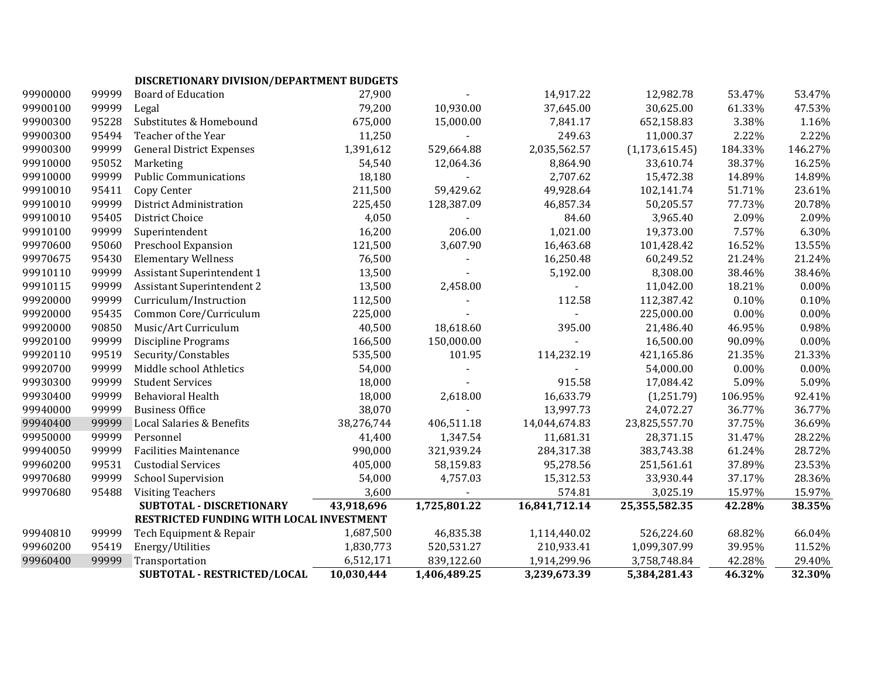# **DISCRETIONARY DIVISION/DEPARTMENT BUDGETS**

| 99900000 | 99999 | <b>Board of Education</b>                | 27,900     |              | 14,917.22     | 12,982.78        | 53.47%   | 53.47%   |
|----------|-------|------------------------------------------|------------|--------------|---------------|------------------|----------|----------|
| 99900100 | 99999 | Legal                                    | 79,200     | 10,930.00    | 37,645.00     | 30,625.00        | 61.33%   | 47.53%   |
| 99900300 | 95228 | Substitutes & Homebound                  | 675,000    | 15,000.00    | 7,841.17      | 652,158.83       | 3.38%    | 1.16%    |
| 99900300 | 95494 | Teacher of the Year                      | 11,250     |              | 249.63        | 11,000.37        | 2.22%    | 2.22%    |
| 99900300 | 99999 | <b>General District Expenses</b>         | 1,391,612  | 529,664.88   | 2,035,562.57  | (1, 173, 615.45) | 184.33%  | 146.27%  |
| 99910000 | 95052 | Marketing                                | 54,540     | 12,064.36    | 8,864.90      | 33,610.74        | 38.37%   | 16.25%   |
| 99910000 | 99999 | <b>Public Communications</b>             | 18,180     |              | 2,707.62      | 15,472.38        | 14.89%   | 14.89%   |
| 99910010 | 95411 | Copy Center                              | 211,500    | 59,429.62    | 49,928.64     | 102,141.74       | 51.71%   | 23.61%   |
| 99910010 | 99999 | District Administration                  | 225,450    | 128,387.09   | 46,857.34     | 50,205.57        | 77.73%   | 20.78%   |
| 99910010 | 95405 | District Choice                          | 4,050      |              | 84.60         | 3,965.40         | 2.09%    | 2.09%    |
| 99910100 | 99999 | Superintendent                           | 16,200     | 206.00       | 1,021.00      | 19,373.00        | 7.57%    | 6.30%    |
| 99970600 | 95060 | Preschool Expansion                      | 121,500    | 3,607.90     | 16,463.68     | 101,428.42       | 16.52%   | 13.55%   |
| 99970675 | 95430 | <b>Elementary Wellness</b>               | 76,500     |              | 16,250.48     | 60,249.52        | 21.24%   | 21.24%   |
| 99910110 | 99999 | <b>Assistant Superintendent 1</b>        | 13,500     |              | 5,192.00      | 8,308.00         | 38.46%   | 38.46%   |
| 99910115 | 99999 | <b>Assistant Superintendent 2</b>        | 13,500     | 2,458.00     |               | 11,042.00        | 18.21%   | 0.00%    |
| 99920000 | 99999 | Curriculum/Instruction                   | 112,500    |              | 112.58        | 112,387.42       | 0.10%    | 0.10%    |
| 99920000 | 95435 | Common Core/Curriculum                   | 225,000    |              |               | 225,000.00       | 0.00%    | 0.00%    |
| 99920000 | 90850 | Music/Art Curriculum                     | 40,500     | 18,618.60    | 395.00        | 21,486.40        | 46.95%   | 0.98%    |
| 99920100 | 99999 | <b>Discipline Programs</b>               | 166,500    | 150,000.00   |               | 16,500.00        | 90.09%   | 0.00%    |
| 99920110 | 99519 | Security/Constables                      | 535,500    | 101.95       | 114,232.19    | 421,165.86       | 21.35%   | 21.33%   |
| 99920700 | 99999 | Middle school Athletics                  | 54,000     |              |               | 54,000.00        | $0.00\%$ | $0.00\%$ |
| 99930300 | 99999 | <b>Student Services</b>                  | 18,000     |              | 915.58        | 17,084.42        | 5.09%    | 5.09%    |
| 99930400 | 99999 | <b>Behavioral Health</b>                 | 18,000     | 2,618.00     | 16,633.79     | (1,251.79)       | 106.95%  | 92.41%   |
| 99940000 | 99999 | <b>Business Office</b>                   | 38,070     |              | 13,997.73     | 24,072.27        | 36.77%   | 36.77%   |
| 99940400 | 99999 | Local Salaries & Benefits                | 38,276,744 | 406,511.18   | 14,044,674.83 | 23,825,557.70    | 37.75%   | 36.69%   |
| 99950000 | 99999 | Personnel                                | 41,400     | 1,347.54     | 11,681.31     | 28,371.15        | 31.47%   | 28.22%   |
| 99940050 | 99999 | <b>Facilities Maintenance</b>            | 990,000    | 321,939.24   | 284,317.38    | 383,743.38       | 61.24%   | 28.72%   |
| 99960200 | 99531 | <b>Custodial Services</b>                | 405,000    | 58,159.83    | 95,278.56     | 251,561.61       | 37.89%   | 23.53%   |
| 99970680 | 99999 | <b>School Supervision</b>                | 54,000     | 4,757.03     | 15,312.53     | 33,930.44        | 37.17%   | 28.36%   |
| 99970680 | 95488 | <b>Visiting Teachers</b>                 | 3,600      |              | 574.81        | 3,025.19         | 15.97%   | 15.97%   |
|          |       | SUBTOTAL - DISCRETIONARY                 | 43,918,696 | 1,725,801.22 | 16,841,712.14 | 25,355,582.35    | 42.28%   | 38.35%   |
|          |       | RESTRICTED FUNDING WITH LOCAL INVESTMENT |            |              |               |                  |          |          |
| 99940810 | 99999 | Tech Equipment & Repair                  | 1,687,500  | 46,835.38    | 1,114,440.02  | 526,224.60       | 68.82%   | 66.04%   |
| 99960200 | 95419 | Energy/Utilities                         | 1,830,773  | 520,531.27   | 210,933.41    | 1,099,307.99     | 39.95%   | 11.52%   |
| 99960400 | 99999 | Transportation                           | 6,512,171  | 839,122.60   | 1,914,299.96  | 3,758,748.84     | 42.28%   | 29.40%   |
|          |       | SUBTOTAL - RESTRICTED/LOCAL              | 10,030,444 | 1,406,489.25 | 3,239,673.39  | 5,384,281.43     | 46.32%   | 32.30%   |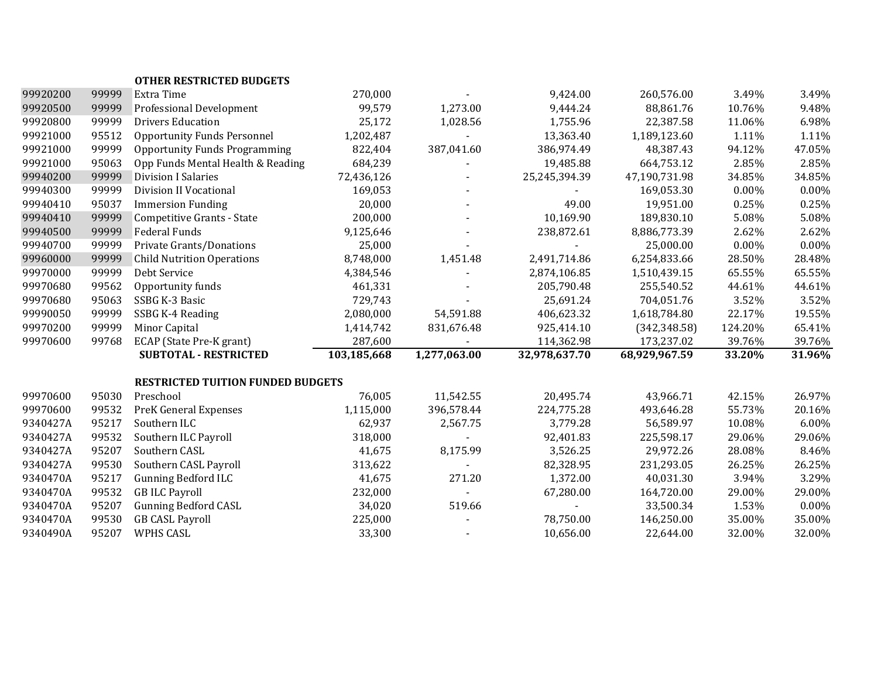|          |       | <b>OTHER RESTRICTED BUDGETS</b>          |             |                |               |               |         |        |
|----------|-------|------------------------------------------|-------------|----------------|---------------|---------------|---------|--------|
| 99920200 | 99999 | Extra Time                               | 270,000     |                | 9,424.00      | 260,576.00    | 3.49%   | 3.49%  |
| 99920500 | 99999 | Professional Development                 | 99,579      | 1,273.00       | 9,444.24      | 88,861.76     | 10.76%  | 9.48%  |
| 99920800 | 99999 | <b>Drivers Education</b>                 | 25,172      | 1,028.56       | 1,755.96      | 22,387.58     | 11.06%  | 6.98%  |
| 99921000 | 95512 | <b>Opportunity Funds Personnel</b>       | 1,202,487   |                | 13,363.40     | 1,189,123.60  | 1.11%   | 1.11%  |
| 99921000 | 99999 | <b>Opportunity Funds Programming</b>     | 822,404     | 387,041.60     | 386,974.49    | 48,387.43     | 94.12%  | 47.05% |
| 99921000 | 95063 | Opp Funds Mental Health & Reading        | 684,239     | $\blacksquare$ | 19,485.88     | 664,753.12    | 2.85%   | 2.85%  |
| 99940200 | 99999 | <b>Division I Salaries</b>               | 72,436,126  |                | 25,245,394.39 | 47,190,731.98 | 34.85%  | 34.85% |
| 99940300 | 99999 | Division II Vocational                   | 169,053     |                |               | 169,053.30    | 0.00%   | 0.00%  |
| 99940410 | 95037 | <b>Immersion Funding</b>                 | 20,000      |                | 49.00         | 19,951.00     | 0.25%   | 0.25%  |
| 99940410 | 99999 | <b>Competitive Grants - State</b>        | 200,000     | $\blacksquare$ | 10,169.90     | 189,830.10    | 5.08%   | 5.08%  |
| 99940500 | 99999 | Federal Funds                            | 9,125,646   |                | 238,872.61    | 8,886,773.39  | 2.62%   | 2.62%  |
| 99940700 | 99999 | Private Grants/Donations                 | 25,000      |                |               | 25,000.00     | 0.00%   | 0.00%  |
| 99960000 | 99999 | <b>Child Nutrition Operations</b>        | 8,748,000   | 1,451.48       | 2,491,714.86  | 6,254,833.66  | 28.50%  | 28.48% |
| 99970000 | 99999 | Debt Service                             | 4,384,546   |                | 2,874,106.85  | 1,510,439.15  | 65.55%  | 65.55% |
| 99970680 | 99562 | Opportunity funds                        | 461,331     |                | 205,790.48    | 255,540.52    | 44.61%  | 44.61% |
| 99970680 | 95063 | SSBG K-3 Basic                           | 729,743     |                | 25,691.24     | 704,051.76    | 3.52%   | 3.52%  |
| 99990050 | 99999 | SSBG K-4 Reading                         | 2,080,000   | 54,591.88      | 406,623.32    | 1,618,784.80  | 22.17%  | 19.55% |
| 99970200 | 99999 | Minor Capital                            | 1,414,742   | 831,676.48     | 925,414.10    | (342, 348.58) | 124.20% | 65.41% |
| 99970600 | 99768 | ECAP (State Pre-K grant)                 | 287,600     |                | 114,362.98    | 173,237.02    | 39.76%  | 39.76% |
|          |       | <b>SUBTOTAL - RESTRICTED</b>             | 103,185,668 | 1,277,063.00   | 32,978,637.70 | 68,929,967.59 | 33.20%  | 31.96% |
|          |       | <b>RESTRICTED TUITION FUNDED BUDGETS</b> |             |                |               |               |         |        |
| 99970600 | 95030 | Preschool                                | 76,005      | 11,542.55      | 20,495.74     | 43,966.71     | 42.15%  | 26.97% |
| 99970600 | 99532 | <b>PreK General Expenses</b>             | 1,115,000   | 396,578.44     | 224,775.28    | 493,646.28    | 55.73%  | 20.16% |
| 9340427A | 95217 | Southern ILC                             | 62,937      | 2,567.75       | 3,779.28      | 56,589.97     | 10.08%  | 6.00%  |
| 9340427A | 99532 | Southern ILC Payroll                     | 318,000     |                | 92,401.83     | 225,598.17    | 29.06%  | 29.06% |
| 9340427A | 95207 | Southern CASL                            | 41,675      | 8,175.99       | 3,526.25      | 29,972.26     | 28.08%  | 8.46%  |
| 9340427A | 99530 | Southern CASL Payroll                    | 313,622     |                | 82,328.95     | 231,293.05    | 26.25%  | 26.25% |
| 9340470A | 95217 | <b>Gunning Bedford ILC</b>               | 41,675      | 271.20         | 1,372.00      | 40,031.30     | 3.94%   | 3.29%  |
| 9340470A | 99532 | <b>GB ILC Payroll</b>                    | 232,000     |                | 67,280.00     | 164,720.00    | 29.00%  | 29.00% |
| 9340470A | 95207 | <b>Gunning Bedford CASL</b>              | 34,020      | 519.66         |               | 33,500.34     | 1.53%   | 0.00%  |
| 9340470A | 99530 | <b>GB CASL Payroll</b>                   | 225,000     |                | 78,750.00     | 146,250.00    | 35.00%  | 35.00% |
| 9340490A | 95207 | WPHS CASL                                | 33,300      |                | 10,656.00     | 22,644.00     | 32.00%  | 32.00% |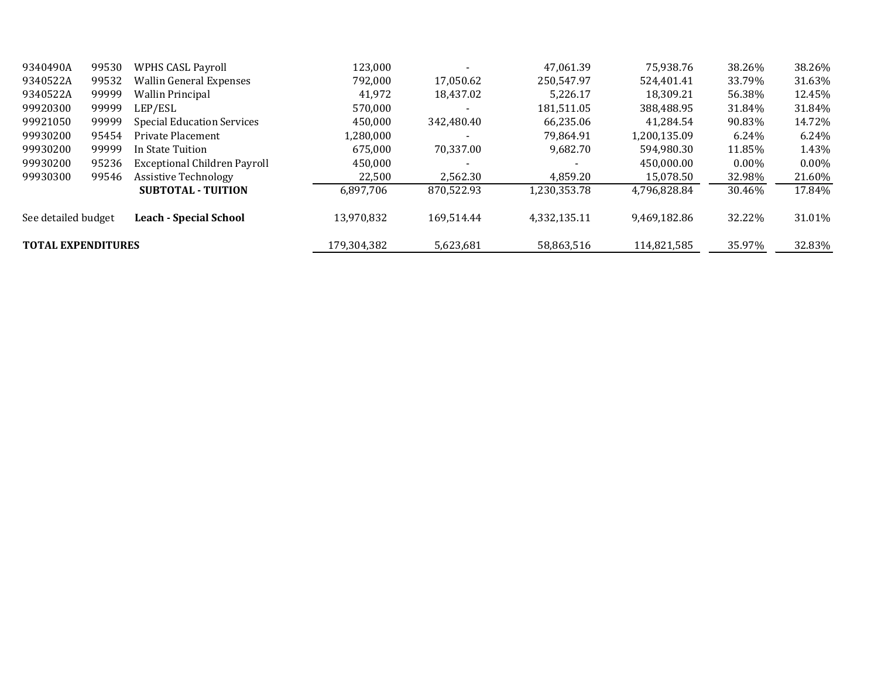| 9340490A                  | 99530 | <b>WPHS CASL Payroll</b>          | 123,000     |            | 47.061.39    | 75,938.76    | 38.26%   | 38.26%   |
|---------------------------|-------|-----------------------------------|-------------|------------|--------------|--------------|----------|----------|
| 9340522A                  | 99532 | <b>Wallin General Expenses</b>    | 792,000     | 17,050.62  | 250.547.97   | 524,401.41   | 33.79%   | 31.63%   |
| 9340522A                  | 99999 | <b>Wallin Principal</b>           | 41,972      | 18.437.02  | 5.226.17     | 18.309.21    | 56.38%   | 12.45%   |
| 99920300                  | 99999 | LEP/ESL                           | 570,000     |            | 181,511.05   | 388,488.95   | 31.84%   | 31.84%   |
| 99921050                  | 99999 | <b>Special Education Services</b> | 450,000     | 342,480.40 | 66,235.06    | 41,284.54    | 90.83%   | 14.72%   |
| 99930200                  | 95454 | Private Placement                 | 1,280,000   |            | 79.864.91    | 1,200,135.09 | $6.24\%$ | 6.24%    |
| 99930200                  | 99999 | In State Tuition                  | 675.000     | 70.337.00  | 9.682.70     | 594.980.30   | 11.85%   | 1.43%    |
| 99930200                  | 95236 | Exceptional Children Payroll      | 450,000     |            |              | 450,000.00   | $0.00\%$ | $0.00\%$ |
| 99930300                  | 99546 | <b>Assistive Technology</b>       | 22,500      | 2,562.30   | 4,859.20     | 15,078.50    | 32.98%   | 21.60%   |
|                           |       | <b>SUBTOTAL - TUITION</b>         | 6,897,706   | 870,522.93 | 1,230,353.78 | 4,796,828.84 | 30.46%   | 17.84%   |
| See detailed budget       |       | <b>Leach - Special School</b>     | 13.970.832  | 169.514.44 | 4,332,135.11 | 9.469.182.86 | 32.22%   | 31.01%   |
| <b>TOTAL EXPENDITURES</b> |       |                                   | 179,304,382 | 5,623,681  | 58,863,516   | 114,821,585  | 35.97%   | 32.83%   |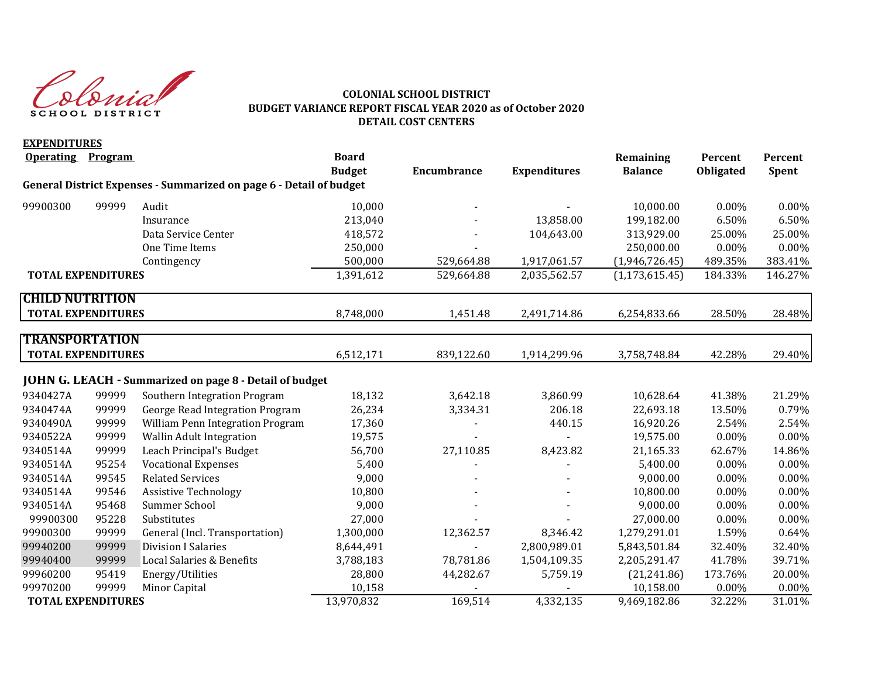Chaich SCHOOL DISTRICT

#### **COLONIAL SCHOOL DISTRICT BUDGET VARIANCE REPORT FISCAL YEAR 2020 as of October 2020 DETAIL COST CENTERS**

| <b>EXPENDITURES</b>       |                |                                                                     |               |                    |                     |                  |           |         |
|---------------------------|----------------|---------------------------------------------------------------------|---------------|--------------------|---------------------|------------------|-----------|---------|
| <b>Operating</b>          | <b>Program</b> |                                                                     | <b>Board</b>  |                    |                     | Remaining        | Percent   | Percent |
|                           |                |                                                                     | <b>Budget</b> | <b>Encumbrance</b> | <b>Expenditures</b> | <b>Balance</b>   | Obligated | Spent   |
|                           |                | General District Expenses - Summarized on page 6 - Detail of budget |               |                    |                     |                  |           |         |
| 99900300                  | 99999          | Audit                                                               | 10,000        |                    |                     | 10,000.00        | 0.00%     | 0.00%   |
|                           |                | Insurance                                                           | 213,040       |                    | 13,858.00           | 199,182.00       | 6.50%     | 6.50%   |
|                           |                | Data Service Center                                                 | 418,572       |                    | 104,643.00          | 313,929.00       | 25.00%    | 25.00%  |
|                           |                | One Time Items                                                      | 250,000       |                    |                     | 250,000.00       | 0.00%     | 0.00%   |
|                           |                | Contingency                                                         | 500,000       | 529,664.88         | 1,917,061.57        | (1,946,726.45)   | 489.35%   | 383.41% |
| <b>TOTAL EXPENDITURES</b> |                |                                                                     | 1,391,612     | 529,664.88         | 2,035,562.57        | (1, 173, 615.45) | 184.33%   | 146.27% |
| <b>CHILD NUTRITION</b>    |                |                                                                     |               |                    |                     |                  |           |         |
| <b>TOTAL EXPENDITURES</b> |                |                                                                     | 8,748,000     | 1,451.48           | 2,491,714.86        | 6,254,833.66     | 28.50%    | 28.48%  |
| <b>TRANSPORTATION</b>     |                |                                                                     |               |                    |                     |                  |           |         |
|                           |                |                                                                     |               |                    |                     |                  |           |         |
| <b>TOTAL EXPENDITURES</b> |                |                                                                     | 6,512,171     | 839,122.60         | 1,914,299.96        | 3,758,748.84     | 42.28%    | 29.40%  |
|                           |                | <b>JOHN G. LEACH - Summarized on page 8 - Detail of budget</b>      |               |                    |                     |                  |           |         |
| 9340427A                  | 99999          | Southern Integration Program                                        | 18,132        | 3,642.18           | 3,860.99            | 10,628.64        | 41.38%    | 21.29%  |
| 9340474A                  | 99999          | George Read Integration Program                                     | 26,234        | 3,334.31           | 206.18              | 22,693.18        | 13.50%    | 0.79%   |
| 9340490A                  | 99999          | William Penn Integration Program                                    | 17,360        |                    | 440.15              | 16,920.26        | 2.54%     | 2.54%   |
| 9340522A                  | 99999          | <b>Wallin Adult Integration</b>                                     | 19,575        |                    |                     | 19,575.00        | 0.00%     | 0.00%   |
| 9340514A                  | 99999          | Leach Principal's Budget                                            | 56,700        | 27,110.85          | 8,423.82            | 21,165.33        | 62.67%    | 14.86%  |
| 9340514A                  | 95254          | <b>Vocational Expenses</b>                                          | 5,400         |                    |                     | 5,400.00         | $0.00\%$  | 0.00%   |
| 9340514A                  | 99545          | <b>Related Services</b>                                             | 9,000         |                    |                     | 9,000.00         | 0.00%     | 0.00%   |
| 9340514A                  | 99546          | <b>Assistive Technology</b>                                         | 10,800        |                    |                     | 10,800.00        | 0.00%     | 0.00%   |
| 9340514A                  | 95468          | Summer School                                                       | 9,000         |                    |                     | 9,000.00         | 0.00%     | 0.00%   |
| 99900300                  | 95228          | Substitutes                                                         | 27,000        |                    |                     | 27,000.00        | 0.00%     | 0.00%   |
| 99900300                  | 99999          | General (Incl. Transportation)                                      | 1,300,000     | 12,362.57          | 8,346.42            | 1,279,291.01     | 1.59%     | 0.64%   |
| 99940200                  | 99999          | <b>Division I Salaries</b>                                          | 8,644,491     |                    | 2,800,989.01        | 5,843,501.84     | 32.40%    | 32.40%  |
| 99940400                  | 99999          | Local Salaries & Benefits                                           | 3,788,183     | 78,781.86          | 1,504,109.35        | 2,205,291.47     | 41.78%    | 39.71%  |
| 99960200                  | 95419          | Energy/Utilities                                                    | 28,800        | 44,282.67          | 5,759.19            | (21, 241.86)     | 173.76%   | 20.00%  |
| 99970200                  | 99999          | Minor Capital                                                       | 10,158        |                    |                     | 10,158.00        | $0.00\%$  | 0.00%   |
| <b>TOTAL EXPENDITURES</b> |                |                                                                     | 13,970,832    | 169,514            | 4,332,135           | 9,469,182.86     | 32.22%    | 31.01%  |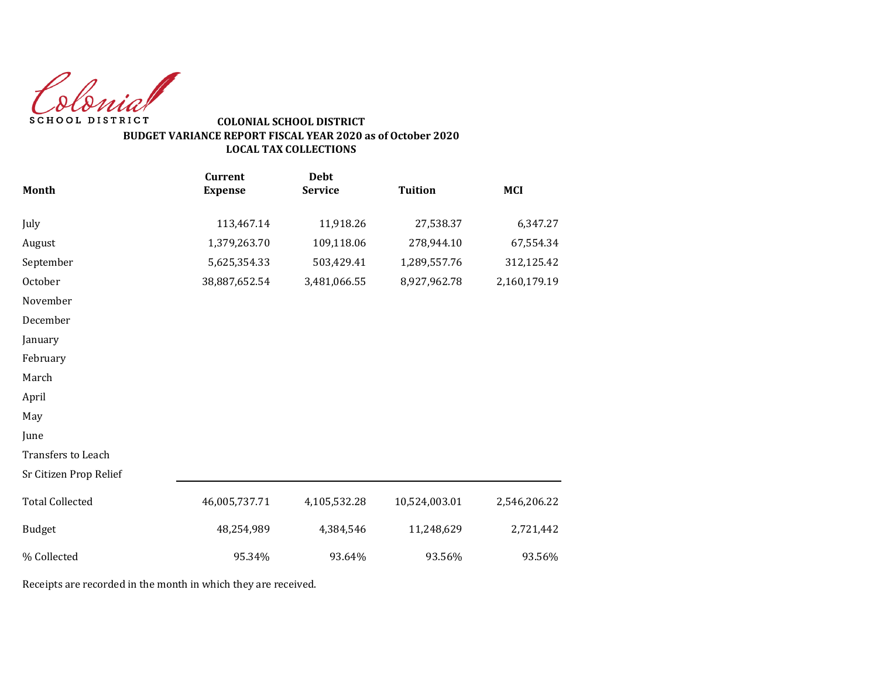Colonial SCHOOL DISTRICT

## **COLONIAL SCHOOL DISTRICT BUDGET VARIANCE REPORT FISCAL YEAR 2020 as of October 2020 LOCAL TAX COLLECTIONS**

|                        | <b>Current</b> | <b>Debt</b>    |                |              |
|------------------------|----------------|----------------|----------------|--------------|
| Month                  | <b>Expense</b> | <b>Service</b> | <b>Tuition</b> | <b>MCI</b>   |
| July                   | 113,467.14     | 11,918.26      | 27,538.37      | 6,347.27     |
| August                 | 1,379,263.70   | 109,118.06     | 278,944.10     | 67,554.34    |
| September              | 5,625,354.33   | 503,429.41     | 1,289,557.76   | 312,125.42   |
| October                | 38,887,652.54  | 3,481,066.55   | 8,927,962.78   | 2,160,179.19 |
| November               |                |                |                |              |
| December               |                |                |                |              |
| January                |                |                |                |              |
| February               |                |                |                |              |
| March                  |                |                |                |              |
| April                  |                |                |                |              |
| May                    |                |                |                |              |
| June                   |                |                |                |              |
| Transfers to Leach     |                |                |                |              |
| Sr Citizen Prop Relief |                |                |                |              |
| <b>Total Collected</b> | 46,005,737.71  | 4,105,532.28   | 10,524,003.01  | 2,546,206.22 |
| <b>Budget</b>          | 48,254,989     | 4,384,546      | 11,248,629     | 2,721,442    |
| % Collected            | 95.34%         | 93.64%         | 93.56%         | 93.56%       |

Receipts are recorded in the month in which they are received.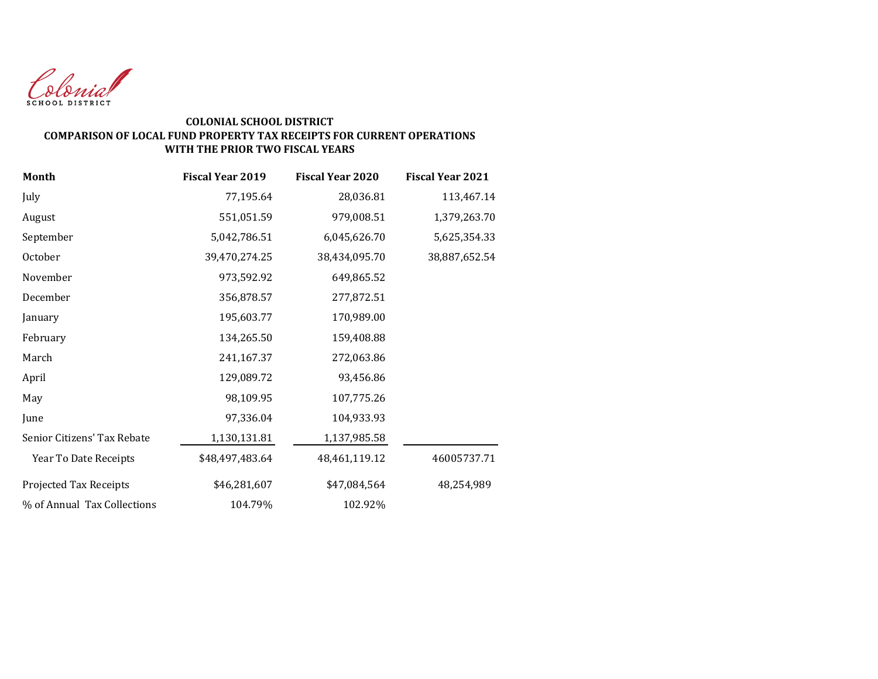

#### **COLONIAL SCHOOL DISTRICT COMPARISON OF LOCAL FUND PROPERTY TAX RECEIPTS FOR CURRENT OPERATIONS WITH THE PRIOR TWO FISCAL YEARS**

| <b>Month</b>                | <b>Fiscal Year 2019</b> | <b>Fiscal Year 2020</b> | <b>Fiscal Year 2021</b> |
|-----------------------------|-------------------------|-------------------------|-------------------------|
| July                        | 77,195.64               | 28,036.81               | 113,467.14              |
| August                      | 551,051.59              | 979,008.51              | 1,379,263.70            |
| September                   | 5,042,786.51            | 6,045,626.70            | 5,625,354.33            |
| October                     | 39,470,274.25           | 38,434,095.70           | 38,887,652.54           |
| November                    | 973,592.92              | 649,865.52              |                         |
| December                    | 356,878.57              | 277,872.51              |                         |
| January                     | 195,603.77              | 170,989.00              |                         |
| February                    | 134,265.50              | 159,408.88              |                         |
| March                       | 241,167.37              | 272,063.86              |                         |
| April                       | 129,089.72              | 93,456.86               |                         |
| May                         | 98,109.95               | 107,775.26              |                         |
| June                        | 97,336.04               | 104,933.93              |                         |
| Senior Citizens' Tax Rebate | 1,130,131.81            | 1,137,985.58            |                         |
| Year To Date Receipts       | \$48,497,483.64         | 48,461,119.12           | 46005737.71             |
| Projected Tax Receipts      | \$46,281,607            | \$47,084,564            | 48,254,989              |
| % of Annual Tax Collections | 104.79%                 | 102.92%                 |                         |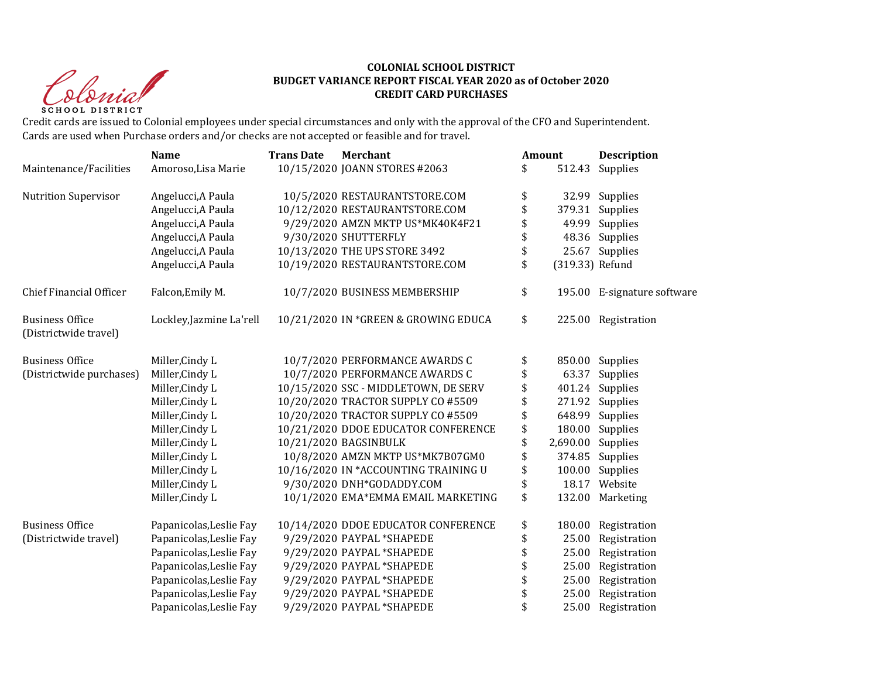Christ **SCHOOL DISTRICT** 

#### **COLONIAL SCHOOL DISTRICT BUDGET VARIANCE REPORT FISCAL YEAR 2020 as of October 2020 CREDIT CARD PURCHASES**

Credit cards are issued to Colonial employees under special circumstances and only with the approval of the CFO and Superintendent. Cards are used when Purchase orders and/or checks are not accepted or feasible and for travel.

|                                                 | <b>Name</b>              | <b>Trans Date</b> | <b>Merchant</b>                      | Amount                | <b>Description</b>          |
|-------------------------------------------------|--------------------------|-------------------|--------------------------------------|-----------------------|-----------------------------|
| Maintenance/Facilities                          | Amoroso, Lisa Marie      |                   | 10/15/2020 JOANN STORES #2063        | \$<br>512.43          | Supplies                    |
| <b>Nutrition Supervisor</b>                     | Angelucci, A Paula       |                   | 10/5/2020 RESTAURANTSTORE.COM        | \$                    | 32.99 Supplies              |
|                                                 | Angelucci, A Paula       |                   | 10/12/2020 RESTAURANTSTORE.COM       | \$<br>379.31          | Supplies                    |
|                                                 | Angelucci, A Paula       |                   | 9/29/2020 AMZN MKTP US*MK40K4F21     | \$<br>49.99           | Supplies                    |
|                                                 | Angelucci, A Paula       |                   | 9/30/2020 SHUTTERFLY                 | \$<br>48.36           | Supplies                    |
|                                                 | Angelucci, A Paula       |                   | 10/13/2020 THE UPS STORE 3492        | \$<br>25.67           | Supplies                    |
|                                                 | Angelucci, A Paula       |                   | 10/19/2020 RESTAURANTSTORE.COM       | \$<br>(319.33) Refund |                             |
| <b>Chief Financial Officer</b>                  | Falcon, Emily M.         |                   | 10/7/2020 BUSINESS MEMBERSHIP        | \$                    | 195.00 E-signature software |
| <b>Business Office</b><br>(Districtwide travel) | Lockley, Jazmine La'rell |                   | 10/21/2020 IN *GREEN & GROWING EDUCA | \$                    | 225.00 Registration         |
| <b>Business Office</b>                          | Miller, Cindy L          |                   | 10/7/2020 PERFORMANCE AWARDS C       | \$<br>850.00          | Supplies                    |
| (Districtwide purchases)                        | Miller, Cindy L          |                   | 10/7/2020 PERFORMANCE AWARDS C       | \$<br>63.37           | Supplies                    |
|                                                 | Miller, Cindy L          |                   | 10/15/2020 SSC - MIDDLETOWN, DE SERV | \$                    | 401.24 Supplies             |
|                                                 | Miller, Cindy L          |                   | 10/20/2020 TRACTOR SUPPLY CO #5509   | \$                    | 271.92 Supplies             |
|                                                 | Miller, Cindy L          |                   | 10/20/2020 TRACTOR SUPPLY CO #5509   | \$<br>648.99          | Supplies                    |
|                                                 | Miller, Cindy L          |                   | 10/21/2020 DDOE EDUCATOR CONFERENCE  | \$<br>180.00          | Supplies                    |
|                                                 | Miller, Cindy L          |                   | 10/21/2020 BAGSINBULK                | \$<br>2,690.00        | Supplies                    |
|                                                 | Miller, Cindy L          |                   | 10/8/2020 AMZN MKTP US*MK7B07GM0     | \$<br>374.85          | Supplies                    |
|                                                 | Miller, Cindy L          |                   | 10/16/2020 IN *ACCOUNTING TRAINING U | \$<br>100.00          | Supplies                    |
|                                                 | Miller, Cindy L          |                   | 9/30/2020 DNH*GODADDY.COM            | \$<br>18.17           | Website                     |
|                                                 | Miller, Cindy L          |                   | 10/1/2020 EMA*EMMA EMAIL MARKETING   | \$<br>132.00          | Marketing                   |
| <b>Business Office</b>                          | Papanicolas, Leslie Fay  |                   | 10/14/2020 DDOE EDUCATOR CONFERENCE  | \$<br>180.00          | Registration                |
| (Districtwide travel)                           | Papanicolas, Leslie Fay  |                   | 9/29/2020 PAYPAL *SHAPEDE            | \$<br>25.00           | Registration                |
|                                                 | Papanicolas, Leslie Fay  |                   | 9/29/2020 PAYPAL *SHAPEDE            | \$<br>25.00           | Registration                |
|                                                 | Papanicolas, Leslie Fay  |                   | 9/29/2020 PAYPAL *SHAPEDE            | \$<br>25.00           | Registration                |
|                                                 | Papanicolas, Leslie Fay  |                   | 9/29/2020 PAYPAL *SHAPEDE            | \$<br>25.00           | Registration                |
|                                                 | Papanicolas, Leslie Fay  |                   | 9/29/2020 PAYPAL *SHAPEDE            | \$<br>25.00           | Registration                |
|                                                 | Papanicolas, Leslie Fay  |                   | 9/29/2020 PAYPAL *SHAPEDE            | \$<br>25.00           | Registration                |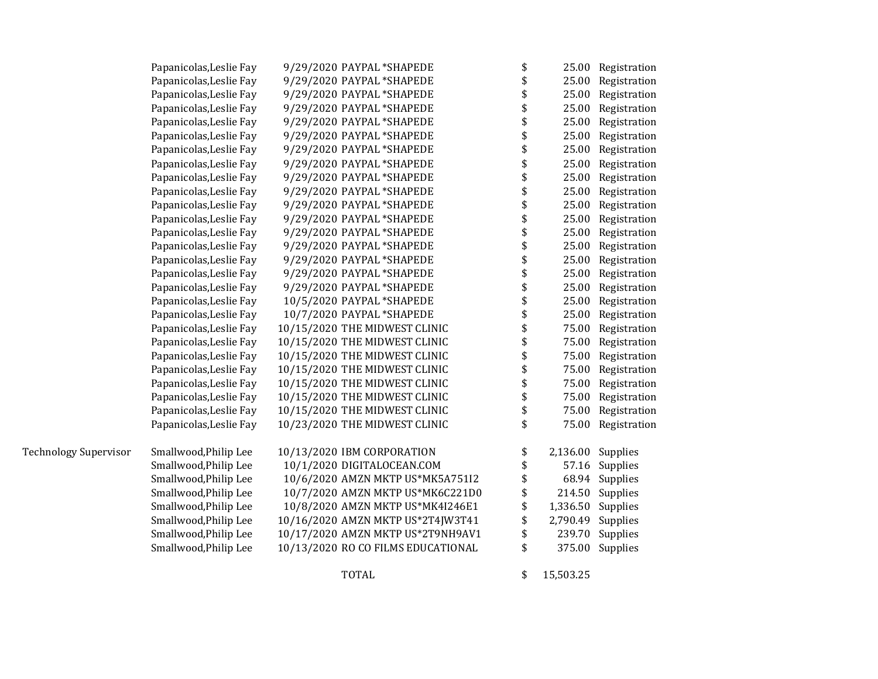|                              | Papanicolas, Leslie Fay | 9/29/2020 PAYPAL *SHAPEDE          | \$<br>25.00    | Registration    |
|------------------------------|-------------------------|------------------------------------|----------------|-----------------|
|                              | Papanicolas, Leslie Fay | 9/29/2020 PAYPAL *SHAPEDE          | \$<br>25.00    | Registration    |
|                              | Papanicolas, Leslie Fay | 9/29/2020 PAYPAL *SHAPEDE          | \$<br>25.00    | Registration    |
|                              | Papanicolas, Leslie Fay | 9/29/2020 PAYPAL *SHAPEDE          | \$<br>25.00    | Registration    |
|                              | Papanicolas, Leslie Fay | 9/29/2020 PAYPAL *SHAPEDE          | \$<br>25.00    | Registration    |
|                              | Papanicolas, Leslie Fay | 9/29/2020 PAYPAL *SHAPEDE          | \$<br>25.00    | Registration    |
|                              | Papanicolas, Leslie Fay | 9/29/2020 PAYPAL *SHAPEDE          | \$<br>25.00    | Registration    |
|                              | Papanicolas, Leslie Fay | 9/29/2020 PAYPAL *SHAPEDE          | \$<br>25.00    | Registration    |
|                              | Papanicolas, Leslie Fay | 9/29/2020 PAYPAL *SHAPEDE          | \$<br>25.00    | Registration    |
|                              | Papanicolas, Leslie Fay | 9/29/2020 PAYPAL *SHAPEDE          | \$<br>25.00    | Registration    |
|                              | Papanicolas, Leslie Fay | 9/29/2020 PAYPAL *SHAPEDE          | \$<br>25.00    | Registration    |
|                              | Papanicolas, Leslie Fay | 9/29/2020 PAYPAL *SHAPEDE          | \$<br>25.00    | Registration    |
|                              | Papanicolas, Leslie Fay | 9/29/2020 PAYPAL *SHAPEDE          | \$<br>25.00    | Registration    |
|                              | Papanicolas, Leslie Fay | 9/29/2020 PAYPAL *SHAPEDE          | \$<br>25.00    | Registration    |
|                              | Papanicolas, Leslie Fay | 9/29/2020 PAYPAL *SHAPEDE          | \$<br>25.00    | Registration    |
|                              | Papanicolas, Leslie Fay | 9/29/2020 PAYPAL *SHAPEDE          | \$<br>25.00    | Registration    |
|                              | Papanicolas, Leslie Fay | 9/29/2020 PAYPAL *SHAPEDE          | \$<br>25.00    | Registration    |
|                              | Papanicolas, Leslie Fay | 10/5/2020 PAYPAL *SHAPEDE          | \$<br>25.00    | Registration    |
|                              | Papanicolas, Leslie Fay | 10/7/2020 PAYPAL *SHAPEDE          | \$<br>25.00    | Registration    |
|                              | Papanicolas, Leslie Fay | 10/15/2020 THE MIDWEST CLINIC      | \$<br>75.00    | Registration    |
|                              | Papanicolas, Leslie Fay | 10/15/2020 THE MIDWEST CLINIC      | \$<br>75.00    | Registration    |
|                              | Papanicolas, Leslie Fay | 10/15/2020 THE MIDWEST CLINIC      | \$<br>75.00    | Registration    |
|                              | Papanicolas, Leslie Fay | 10/15/2020 THE MIDWEST CLINIC      | \$<br>75.00    | Registration    |
|                              | Papanicolas, Leslie Fay | 10/15/2020 THE MIDWEST CLINIC      | \$<br>75.00    | Registration    |
|                              | Papanicolas, Leslie Fay | 10/15/2020 THE MIDWEST CLINIC      | \$<br>75.00    | Registration    |
|                              | Papanicolas, Leslie Fay | 10/15/2020 THE MIDWEST CLINIC      | \$<br>75.00    | Registration    |
|                              | Papanicolas, Leslie Fay | 10/23/2020 THE MIDWEST CLINIC      | \$<br>75.00    | Registration    |
| <b>Technology Supervisor</b> | Smallwood, Philip Lee   | 10/13/2020 IBM CORPORATION         | \$<br>2,136.00 | Supplies        |
|                              | Smallwood, Philip Lee   | 10/1/2020 DIGITALOCEAN.COM         | \$<br>57.16    | Supplies        |
|                              | Smallwood, Philip Lee   | 10/6/2020 AMZN MKTP US*MK5A751I2   | \$<br>68.94    | Supplies        |
|                              | Smallwood, Philip Lee   | 10/7/2020 AMZN MKTP US*MK6C221D0   | \$<br>214.50   | Supplies        |
|                              | Smallwood, Philip Lee   | 10/8/2020 AMZN MKTP US*MK4I246E1   | \$<br>1,336.50 | Supplies        |
|                              | Smallwood, Philip Lee   | 10/16/2020 AMZN MKTP US*2T4JW3T41  | \$<br>2,790.49 | Supplies        |
|                              | Smallwood, Philip Lee   | 10/17/2020 AMZN MKTP US*2T9NH9AV1  | \$<br>239.70   | Supplies        |
|                              | Smallwood, Philip Lee   | 10/13/2020 RO CO FILMS EDUCATIONAL | \$             | 375.00 Supplies |
|                              |                         |                                    |                |                 |

TOTAL \$ 15,503.25